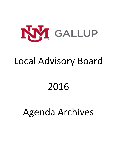

### Local Advisory Board

# 2016

## Agenda Archives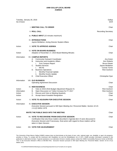| Tuesday, January 26, 2016<br>Six O'clock  |                                                                                                                                                                                                                                                                                                                                                            | Gallup<br><b>DCR</b>                                                                                                                |
|-------------------------------------------|------------------------------------------------------------------------------------------------------------------------------------------------------------------------------------------------------------------------------------------------------------------------------------------------------------------------------------------------------------|-------------------------------------------------------------------------------------------------------------------------------------|
|                                           | <b>I. MEETING CALL TO ORDER</b>                                                                                                                                                                                                                                                                                                                            | Chair                                                                                                                               |
|                                           | <b>II. ROLL CALL</b>                                                                                                                                                                                                                                                                                                                                       | <b>Recording Secretary</b>                                                                                                          |
|                                           | III. PUBLIC INPUT (15 minutes maximum)                                                                                                                                                                                                                                                                                                                     |                                                                                                                                     |
|                                           | <b>IV. INTRODUCTIONS</b><br>Jayme McMahon, Acting Director Student Affairs                                                                                                                                                                                                                                                                                 | Chair                                                                                                                               |
| Action                                    | V. VOTE TO APPROVE AGENDA                                                                                                                                                                                                                                                                                                                                  | Chair                                                                                                                               |
| Action                                    | <b>VI. VOTE ON BOARD BUSINESS</b><br>Adoption of November 17, 2015 Board Meeting Minutes                                                                                                                                                                                                                                                                   | Chair                                                                                                                               |
| Information                               | <b>VII. CAMPUS REPORTS</b><br><b>Community Outreach Coordinator</b><br>А.<br>В.<br>Instruction and Academic Affairs<br>Zuni Campus Report<br>i.<br>C.<br><b>Student Services</b><br><b>MCHS</b><br>i.<br><b>Business Operations</b><br>D.<br>Monthly Financial Update<br>i.<br><b>Monthly Grants Update</b><br>ii.<br><b>Chief Executive Officer</b><br>Е. | Ara Green<br>Ken Roberts<br><b>Bruce Klewer</b><br>Jayme McMahon<br><b>Connie Torres</b><br><b>Rick Goshorn</b><br>Christopher Dyer |
| Information                               | <b>VIII. OLD BUSINESS</b><br><b>Operating Agreement Discussion</b>                                                                                                                                                                                                                                                                                         | Chair                                                                                                                               |
| Action<br>Information<br>Action<br>Action | <b>IX. NEW BUSINESS</b><br>А.<br>Vote on 2015-2016 Budget Adjustment Request #1<br>Open Discussion on Tuition Increase for FY 2017<br>В.<br>C. Discuss and Vote on Meeting Quarterly<br>Accept Aaron Kowalski Resignation<br>D.                                                                                                                            | Chair<br><b>Rick Goshorn</b><br><b>Rick Goshorn</b><br>Chair<br>Chair                                                               |
| Action                                    | X. VOTE TO ADJOURN FOR EXECUTIVE SESSION                                                                                                                                                                                                                                                                                                                   | Chair                                                                                                                               |
| Information                               | XI. EXECUTIVE SESSION<br>Executive Session pursuant to NM Open Meeting Act; Personnel Matter, Section 10-15-<br>1-H.(2) NMSA 1978.                                                                                                                                                                                                                         |                                                                                                                                     |
|                                           | <b>INVITE THE PUBLIC BACK INTO THE MEETING</b>                                                                                                                                                                                                                                                                                                             | Chair                                                                                                                               |
| Action                                    | XII. VOTE TO RECONVENE FROM EXECUTIVE SESSION<br>Certification that only those matters described in Agenda Item XI were discussed in<br>Executive Session and if necessary, final action with regard to those matters will be<br>taken in Open Session.                                                                                                    | Chair                                                                                                                               |
| Action                                    | XIII. VOTE FOR ADJOURNMENT                                                                                                                                                                                                                                                                                                                                 | Chair                                                                                                                               |

The University of New Mexico Gallup (UNMG) campus does not discriminate on the basis of race, color, national origin, sex, disability, or age in its programs, activities or hiring. To comply with the Americans with Disabilities Act and the Rehabilitation Act of 1973, UNMG provides information contained in this publication in alternative formats. If special assistance or an alternative format is needed, please contact the UNMG Accessibility Resource Center at 505-863- 7757 or the Executive Director's Office at 505-863-7501. Executive Session pursuant to NM Open Meeting Act; Personnel Matter, Section 10-15-1-H.(2) NMSA 1978.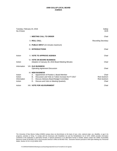| Six O'clock                               | Tuesday, February 23, 2016                                                                                                                                                                                                    | Gallup<br><b>DCR</b>                                         |
|-------------------------------------------|-------------------------------------------------------------------------------------------------------------------------------------------------------------------------------------------------------------------------------|--------------------------------------------------------------|
|                                           | <b>I. MEETING CALL TO ORDER</b>                                                                                                                                                                                               | Chair                                                        |
|                                           | <b>II. ROLL CALL</b>                                                                                                                                                                                                          | <b>Recording Secretary</b>                                   |
|                                           | III. PUBLIC INPUT (15 minutes maximum)                                                                                                                                                                                        |                                                              |
|                                           | <b>IV. INTRODUCTIONS</b>                                                                                                                                                                                                      | Chair                                                        |
| Action                                    | <b>V. VOTE TO APPROVE AGENDA</b>                                                                                                                                                                                              | Chair                                                        |
| Action                                    | <b>VI. VOTE ON BOARD BUSINESS</b><br>Adoption of January 26, 2016 Board Meeting Minutes                                                                                                                                       | Chair                                                        |
| Information                               | <b>VIII. OLD BUSINESS</b><br><b>Operating Agreement Discussion</b>                                                                                                                                                            | Chair                                                        |
| Action<br>Action<br>Information<br>Action | IX. NEW BUSINESS<br>Appointment of Position 1 Board Member<br>А.<br>Discussion and Vote on Tuition Increase for FY 2017<br>В.<br>Discuss Advisory Board Budget Committee<br>C.<br>Discuss and Vote on Meeting Quarterly<br>D. | Chair<br><b>Rick Goshorn</b><br><b>Rick Goshorn</b><br>Chair |
| Action                                    | XIII. VOTE FOR ADJOURNMENT                                                                                                                                                                                                    | Chair                                                        |

The University of New Mexico Gallup (UNMG) campus does not discriminate on the basis of race, color, national origin, sex, disability, or age in its programs, activities or hiring. To comply with the Americans with Disabilities Act and the Rehabilitation Act of 1973, UNMG provides information contained in this publication in alternative formats. If special assistance or an alternative format is needed, please contact the UNMG Accessibility Resource Center at 505-863-7757 or the Executive Director's Office at 505-863-7501. Executive Session pursuant to NM Open Meeting Act; Personnel Matter, Section 10-15-1-H.(2) NMSA 1978.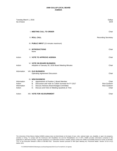| Tuesday, March 1, 2016<br>Six O'clock          |                                                                                                                                                                                                                                | Gallup<br><b>DCR</b>                                  |
|------------------------------------------------|--------------------------------------------------------------------------------------------------------------------------------------------------------------------------------------------------------------------------------|-------------------------------------------------------|
|                                                | I. MEETING CALL TO ORDER                                                                                                                                                                                                       | Chair                                                 |
|                                                | <b>II. ROLL CALL</b>                                                                                                                                                                                                           | <b>Recording Secretary</b>                            |
|                                                | III. PUBLIC INPUT (15 minutes maximum)                                                                                                                                                                                         |                                                       |
|                                                | IV. INTRODUCTIONS<br>None                                                                                                                                                                                                      | Chair                                                 |
| Action                                         | <b>V. VOTE TO APPROVE AGENDA</b>                                                                                                                                                                                               | Chair                                                 |
| Action                                         | <b>VI. VOTE ON BOARD BUSINESS</b><br>Adoption of January 26, 2016 Board Meeting Minutes                                                                                                                                        | Chair                                                 |
| Information                                    | <b>VIII. OLD BUSINESS</b><br><b>Operating Agreement Discussion</b>                                                                                                                                                             | Chair                                                 |
| Information<br>Action<br>Information<br>Action | IX. NEW BUSINESS<br>Appointment of Position 1 Board Member<br>A.<br>B. Discussion and Vote on Tuition Increase for FY 2017<br>C. Discuss Advisory Board Budget Committee<br>Discuss and Vote on Meeting Quarterly & Time<br>D. | Chair<br><b>Rick Goshorn</b><br>Rick Goshorn<br>Chair |
| Action                                         | XIII. VOTE FOR ADJOURNMENT                                                                                                                                                                                                     | Chair                                                 |

The University of New Mexico Gallup (UNMG) campus does not discriminate on the basis of race, color, national origin, sex, disability, or age in its programs, activities or hiring. To comply with the Americans with Disabilities Act and the Rehabilitation Act of 1973, UNMG provides information contained in this publication in alternative formats. If special assistance or an alternative format is needed, please contact the UNMG Accessibility Resource Center at 505-863- 7757 or the Executive Director's Office at 505-863-7501. Executive Session pursuant to NM Open Meeting Act; Personnel Matter, Section 10-15-1-H.(2) NMSA 1978.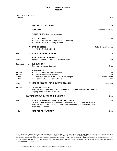Tuesday, April 5, 2016 Gallup Contract Contract Contract Contract Contract Contract Contract Contract Contract Contract Contract Contract Contract Contract Contract Contract Contract Contract Contract Contract Contract Con 1:00 PM DCR **I. MEETING CALL TO ORDER CHAIRS AND THE SECOND CONSTRUCT OF A SECOND CONSTRUCT OF A SECOND CHAIR II. ROLL CALL CALL RECORDING THE SECRETARY CONSUMING THE SECRETARY RECORDING SECRETARY <b>RECORDING SECRETARY** III. **PUBLIC INPUT** (15 minutes maximum) IV. **INTRODUCTIONS** Chair A. Cynthia Sanders, Magistrate Judge City of Gallup B. Priscilla Smith, Community Member V. **OATH OF OFFICE V. OATH OF OFFICE** A. Priscilla Smith, Position 1 Action **VI. VOTE TO APPROVE AGENDA** Chair Chair Chair Chair Chair Chair Chair Chair Chair Chair Chair Chair Chair VII. **VOTE ON BOARD BUSINESS** Action **Adoption of March 1, 2016 Board Meeting Minutes** Chair Chair Chair Information VIII. **OLD BUSINESS Operating Agreement Discussion Chair** Chair Chair Chair Chair Chair Chair Chair Chair Chair Chair Chair Chair Chair Chair Chair Chair Chair Chair Chair Chair Chair Chair Chair Chair Chair Chair Chair Chair Chair Chair Cha IX. **NEW BUSINESS** Information A. Former Board Member Recognition Chair Information B. Special Events Fund Raising Chair Chair Chair Chair Chair Chair Action **C.** Discuss & Vote on FY 2016-2017 UNMG Budget Rick Goshorn Rick Goshorn Action **D.** Election 2016-2017 Board Officers **Chair** Chair Chair Chair Action **X. VOTE TO ADJOURN FOR EXECUTIVE SESSION** Secretary Secretary Information XI. **EXECUTIVE SESSION INVITE THE PUBLIC BACK INTO THE MEETING Chair Chair** Chair Action XII. **VOTE TO RECONVENE FROM EXECUTIVE SESSION** Chair Action XIII. **VOTE FOR ADJOURNMENT** Chair *Executive Session pursuant to NM Open Meeting Act; Acquisition or Disposal of Real Property, Section 10-15-1-H.(8), NMSA 1978. Certification that only those matters described in Agenda Item XI were discussed in Executive Session and if necessary, final action with regard to those matters will be taken in Open Session.*

The University of New Mexico Gallup (UNMG) campus does not discriminate on the basis of race, color, national origin, sex, disability, or age in its programs, activities or hiring. To comply with the Americans with Disabilities Act and the Rehabilitation Act of 1973, UNMG provides information contained in this publication in alternative formats. If special assistance or an alternative format is needed, please contact the UNMG Accessibility Resource Center at 505-863-7757 or the Executive Director's Office at 505-863-7501. Executive Session pursuant to NM Open Meeting Act; Acquisition or Disposal of Real Property, Section 10-15-1-H.(8), NMSA 1978.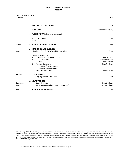Tuesday, May 24, 2016 **Gallup** Control of the Callup Control of the Callup Control of the Callup Control of the Callup Control of the Control of the Control of the Control of the Control of the Control of the Control of th 1:00 PM DCR

|                       | <b>I. MEETING CALL TO ORDER</b>                                                                                                                                                                                                                                                 | Chair                                                                                                         |
|-----------------------|---------------------------------------------------------------------------------------------------------------------------------------------------------------------------------------------------------------------------------------------------------------------------------|---------------------------------------------------------------------------------------------------------------|
|                       | <b>II. ROLL CALL</b>                                                                                                                                                                                                                                                            | <b>Recording Secretary</b>                                                                                    |
|                       | III. PUBLIC INPUT (15 minutes maximum)                                                                                                                                                                                                                                          |                                                                                                               |
|                       | <b>IV. INTRODUCTIONS</b><br>None                                                                                                                                                                                                                                                | Chair                                                                                                         |
| Action                | <b>V. VOTE TO APPROVE AGENDA</b>                                                                                                                                                                                                                                                | Chair                                                                                                         |
| Action                | <b>VI. VOTE ON BOARD BUSINESS</b><br>Adoption of April 5, 2016 Board Meeting Minutes                                                                                                                                                                                            | Chair                                                                                                         |
|                       | <b>VII. CAMPUS REPORTS</b><br>Instruction and Academic Affairs<br>А.<br><b>Student Services</b><br><b>B.</b><br><b>MCHS</b><br>i.<br><b>Business Operations</b><br>C.<br>Monthly Financial Update<br>i.<br>Monthly Grants Update<br>ii.<br><b>Chief Executive Officer</b><br>D. | <b>Ken Roberts</b><br>Jayme McMahon<br><b>Connie Torres</b><br><b>Rick Goshorn</b><br><b>Christopher Dyer</b> |
| Information           | <b>VIII. OLD BUSINESS</b><br><b>Operating Agreement Discussion</b>                                                                                                                                                                                                              | Chair                                                                                                         |
| Information<br>Action | IX. NEW BUSINESS<br>A. Capital Projects<br>NMHED Budget Adjustment Request (BAR)<br>В.                                                                                                                                                                                          | <b>Rick Goshorn</b><br><b>Rick Goshorn</b>                                                                    |
| Action                | X. VOTE FOR ADJOURNMENT                                                                                                                                                                                                                                                         | Chair                                                                                                         |

The University of New Mexico Gallup (UNMG) campus does not discriminate on the basis of race, color, national origin, sex, disability, or age in its programs, activities or hiring. To comply with the Americans with Disabilities Act and the Rehabilitation Act of 1973, UNMG provides information contained in this publication in alternative formats. If special assistance or an alternative format is needed, please contact the UNMG Accessibility Resource Center at 505-863- 7757 or the Executive Director's Office at 505-863-7501. Executive Session pursuant to NM Open Meeting Act; Acquisition or Disposal of Real Property, Section 10-15-1-H.(8), NMSA 1978.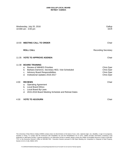### **UNM-GALLUP LOCAL BOARD RETREAT AGENDA**

|       | Wednesday, July 20, 2016<br>10:000 am - 3:00 pm                                                                                                                                                                         | Gallup<br><b>DCR</b>                                 |
|-------|-------------------------------------------------------------------------------------------------------------------------------------------------------------------------------------------------------------------------|------------------------------------------------------|
|       | 10:00 MEETING CALL TO ORDER                                                                                                                                                                                             | Chair                                                |
|       | <b>ROLL CALL</b>                                                                                                                                                                                                        | <b>Recording Secretary</b>                           |
|       | 11:35 VOTE TO APPROVE AGENDA                                                                                                                                                                                            | Chair                                                |
| 11:38 | <b>BOARD TRAINING</b><br><b>Review of NMHED Priorities</b><br>$a_{-}$<br>Barbara Dameron, Secretary HED, Visit Scheduled<br>b.<br><b>Advisory Board Responsibilities</b><br>C.<br>Institutional Updates 2016-2017<br>d. | Chris Dyer<br>Chris Dyer<br>Chris Dyer<br>Chris Dyer |
| 4:00  | <b>REVIEWS</b><br><b>Operating Agreement</b><br>a.<br><b>Local Board Ethics</b><br>b.<br>Local Board By-Laws<br>c.<br>2015-2016 Board Meeting Schedule and Retreat Dates<br>d.                                          | Chair                                                |
| 4:30  | <b>VOTE TO ADJOURN</b>                                                                                                                                                                                                  | Chair                                                |

The University of New Mexico Gallup (UNMG) campus does not discriminate on the basis of race, color, national origin, sex, disability, or age in its programs, activities or hiring. To comply with the Americans with Disabilities Act and the Rehabilitation Act of 1973, UNMG provides information contained in this publication in alternative formats. If special assistance or an alternative format is needed, please contact the UNMG Accessibility Resource Center at 505-863- 7757 or the Executive Director's Office at 505-863-7501. Executive Session pursuant to NM Open Meeting Act; Acquisition or Disposal of Real Property, Section 10-15-1-H.(8), NMSA 1978.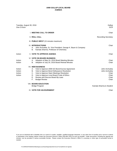| Tuesday, August 30, 2016<br>One O'clock |                                                                                                                                                                                                                                                                                                                   | Gallup<br><b>DCR</b>                                                 |
|-----------------------------------------|-------------------------------------------------------------------------------------------------------------------------------------------------------------------------------------------------------------------------------------------------------------------------------------------------------------------|----------------------------------------------------------------------|
|                                         | <b>I. MEETING CALL TO ORDER</b>                                                                                                                                                                                                                                                                                   | Chair                                                                |
|                                         | <b>II. ROLL CALL</b>                                                                                                                                                                                                                                                                                              | <b>Recording Secretary</b>                                           |
|                                         | III. PUBLIC INPUT (15 minutes maximum)                                                                                                                                                                                                                                                                            |                                                                      |
|                                         | <b>IV. INTRODUCTIONS</b><br>John Archuleta, Sr. Vice President, George K. Baum & Company<br>А.<br>Kamala Sharma, Professor of Chemistry<br>В.                                                                                                                                                                     | Chair                                                                |
| Action                                  | <b>V. VOTE TO APPROVE AGENDA</b>                                                                                                                                                                                                                                                                                  | Chair                                                                |
| Action<br>Action                        | <b>VI. VOTE ON BOARD BUSINESS</b><br>Adoption of May 24, 2016 Board Meeting Minutes<br>А.<br>Adoption of July 20, 2016 Board Retreat Minutes<br>В.                                                                                                                                                                | Chair<br>Chair                                                       |
| Action<br>Action<br>Action<br>Action    | <b>VII. NEW BUSINESS</b><br>Vote to Approve 2009 GO Bond Escrow Agreement<br>А.<br>В.<br>Vote to Approve Bond Defeasance Resolution<br>Vote to Approve Open Meetings Resolution<br>C.<br>Vote to Approve Local Board Code of Ethics<br>D.<br>Е.<br>Review and Discuss Board By-Laws<br>F.<br><b>Budget Review</b> | John Archuleta<br>John Archuleta<br>Chair<br>Chair<br>Chair<br>Chair |
|                                         | <b>VIII. BOARD EDUCATION</b><br><b>Bridge Program</b>                                                                                                                                                                                                                                                             | Kamala Sharma & Student                                              |

**IX. VOTE FOR ADJOURNMENT Chair** Chair **Chair** Chair **Chair** Chair **Chair** Chair **Chair** 

If you are an individual with a disability who is in need of a reader, amplifier, qualified language interpreter, or any other form of auxiliary aid or service to attend or participate in the meeting, please contact the Executive Director's Office (505-863-7501) as soon as possible. Public documents, including the agenda and minutes, can be provided in various accessible formats. Please contact the Executive Director's Office if a summary or other type of accessible format is needed.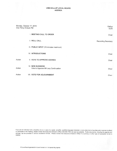| Monday, October 17, 2016<br>One Thirty O'clock PM |                                                                  | Gallup<br><b>DCR</b> |
|---------------------------------------------------|------------------------------------------------------------------|----------------------|
|                                                   | <b>I. MEETING CALL TO ORDER</b>                                  | Chair                |
|                                                   | <b>II. ROLL CALL</b>                                             | Recording Secretary  |
|                                                   | III. PUBLIC INPUT (15 minutes maximum)                           |                      |
|                                                   | <b>IV. INTRODUCTIONS</b>                                         | Chair                |
| Action                                            | <b>V. VOTE TO APPROVE AGENDA</b>                                 | Chair                |
| Action                                            | <b>VI. NEW BUSINESS</b><br>Vote to Approve Mil Levy Continuation | Chair                |
| Action                                            | <b>VII. VOTE FOR ADJOURNMENT</b>                                 | Chair                |

If you are an individual with a disability who is in need of a reader, amplifier, qualified language interpreter, or any other form of auxiliary aid or service to attend<br>or participate in the meeting, please contact the Ex minutes, can be provided in various accessible formats. Please contact the Executive Director's Office if a summary or other type of accessible format is needed.